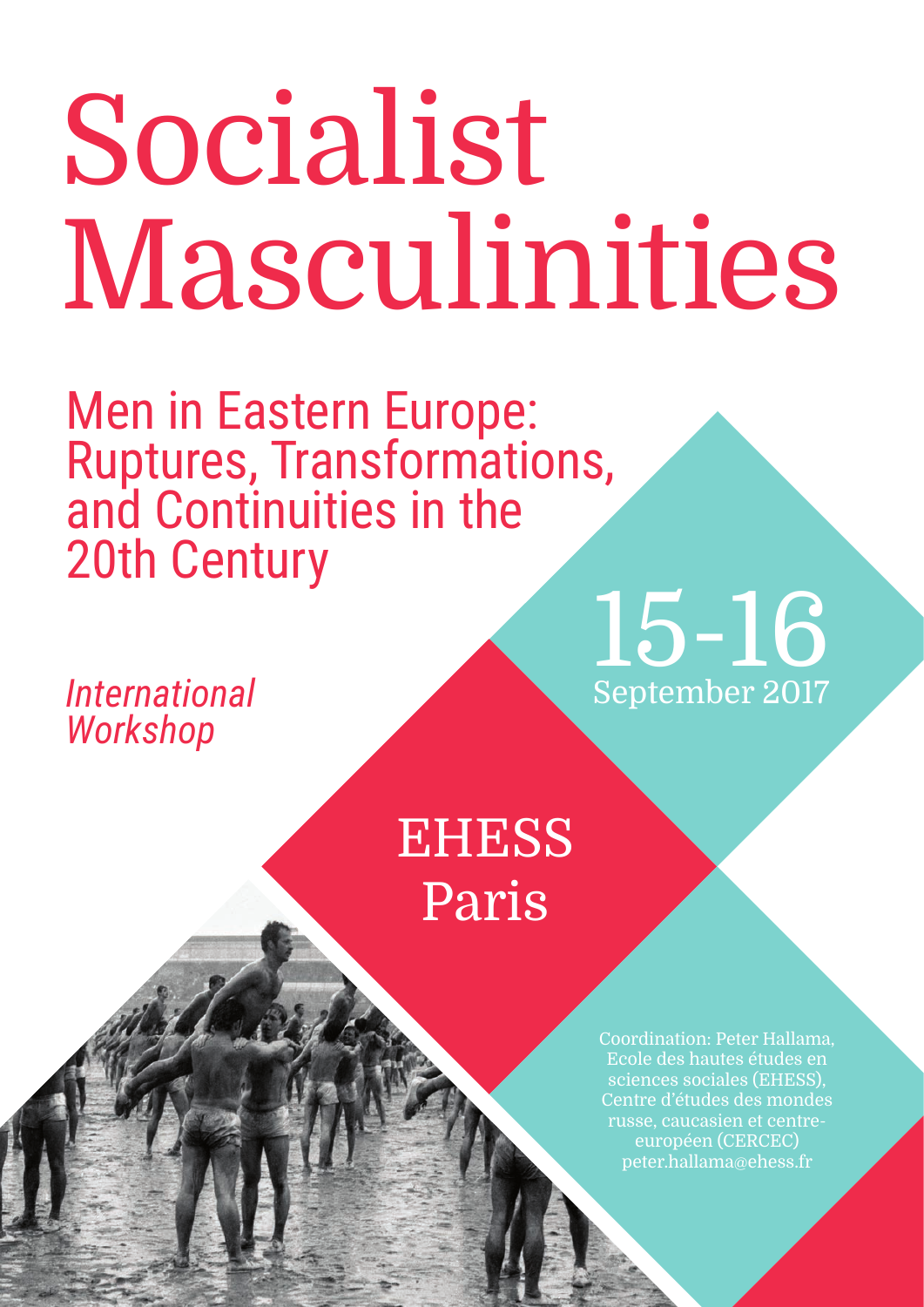# Socialist Masculinities

Men in Eastern Europe: Ruptures, Transformations, and Continuities in the 20th Century

*International Workshop*

## 15-16 September 2017

### **EHESS** Paris

Coordination: Peter Hallama, Ecole des hautes études en sciences sociales (EHESS), Centre d'études des mondes russe, caucasien et centreeuropéen (CERCEC) peter.hallama@ehess.fr